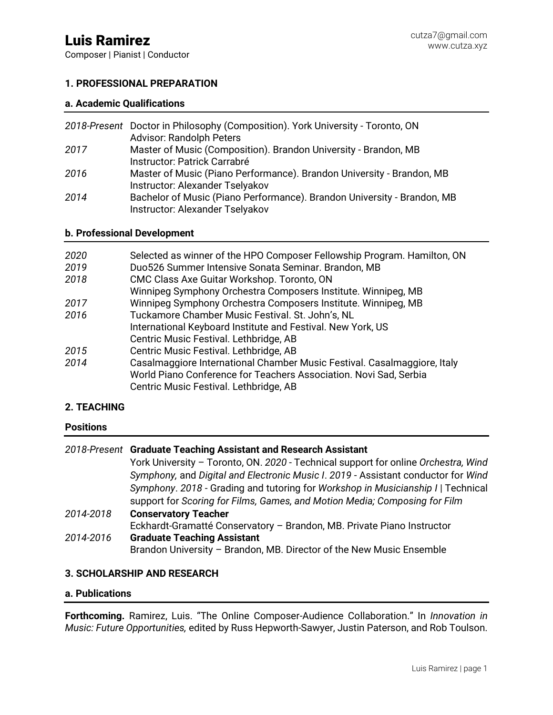Composer | Pianist | Conductor

#### **1. PROFESSIONAL PREPARATION**

#### **a. Academic Qualifications**

|      | 2018-Present Doctor in Philosophy (Composition). York University - Toronto, ON                             |
|------|------------------------------------------------------------------------------------------------------------|
|      | <b>Advisor: Randolph Peters</b>                                                                            |
| 2017 | Master of Music (Composition). Brandon University - Brandon, MB<br>Instructor: Patrick Carrabré            |
| 2016 | Master of Music (Piano Performance). Brandon University - Brandon, MB<br>Instructor: Alexander Tselyakov   |
| 2014 | Bachelor of Music (Piano Performance). Brandon University - Brandon, MB<br>Instructor: Alexander Tselyakov |

#### **b. Professional Development**

| 2020 | Selected as winner of the HPO Composer Fellowship Program. Hamilton, ON                                                                                                                 |
|------|-----------------------------------------------------------------------------------------------------------------------------------------------------------------------------------------|
| 2019 | Duo 526 Summer Intensive Sonata Seminar. Brandon, MB                                                                                                                                    |
| 2018 | CMC Class Axe Guitar Workshop. Toronto, ON                                                                                                                                              |
|      | Winnipeg Symphony Orchestra Composers Institute. Winnipeg, MB                                                                                                                           |
| 2017 | Winnipeg Symphony Orchestra Composers Institute. Winnipeg, MB                                                                                                                           |
| 2016 | Tuckamore Chamber Music Festival. St. John's, NL                                                                                                                                        |
|      | International Keyboard Institute and Festival. New York, US                                                                                                                             |
|      | Centric Music Festival. Lethbridge, AB                                                                                                                                                  |
| 2015 | Centric Music Festival. Lethbridge, AB                                                                                                                                                  |
| 2014 | Casalmaggiore International Chamber Music Festival. Casalmaggiore, Italy<br>World Piano Conference for Teachers Association. Novi Sad, Serbia<br>Centric Music Festival. Lethbridge, AB |

#### **2. TEACHING**

#### **Positions**

|           | 2018-Present Graduate Teaching Assistant and Research Assistant                    |
|-----------|------------------------------------------------------------------------------------|
|           | York University - Toronto, ON. 2020 - Technical support for online Orchestra, Wind |
|           | Symphony, and Digital and Electronic Music I. 2019 - Assistant conductor for Wind  |
|           | Symphony. 2018 - Grading and tutoring for Workshop in Musicianship I   Technical   |
|           | support for Scoring for Films, Games, and Motion Media; Composing for Film         |
| 2014-2018 | <b>Conservatory Teacher</b>                                                        |
|           | Eckhardt-Gramatté Conservatory - Brandon, MB. Private Piano Instructor             |
| 2014-2016 | <b>Graduate Teaching Assistant</b>                                                 |
|           | Brandon University - Brandon, MB. Director of the New Music Ensemble               |
|           |                                                                                    |
|           | <b>3. SCHOLARSHIP AND RESEARCH</b>                                                 |

#### **a. Publications**

**Forthcoming.** Ramirez, Luis. "The Online Composer-Audience Collaboration." In *Innovation in Music: Future Opportunities,* edited by Russ Hepworth-Sawyer, Justin Paterson, and Rob Toulson.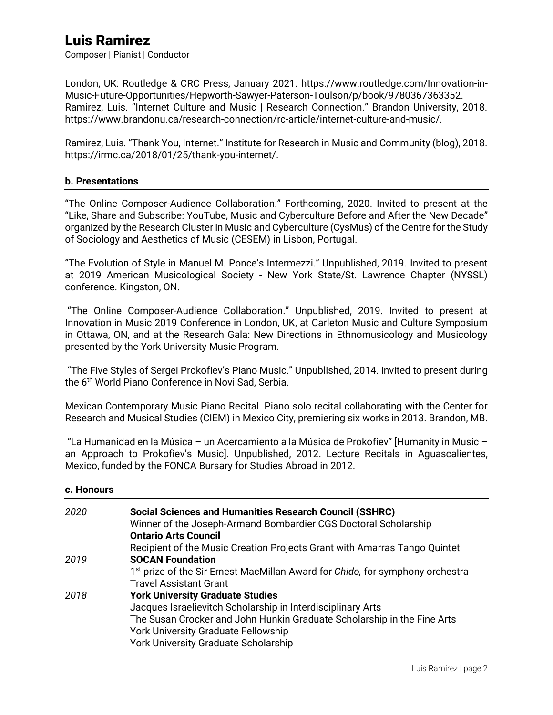Composer | Pianist | Conductor

London, UK: Routledge & CRC Press, January 2021. https://www.routledge.com/Innovation-in-Music-Future-Opportunities/Hepworth-Sawyer-Paterson-Toulson/p/book/9780367363352. Ramirez, Luis. "Internet Culture and Music | Research Connection." Brandon University, 2018. https://www.brandonu.ca/research-connection/rc-article/internet-culture-and-music/.

Ramirez, Luis. "Thank You, Internet." Institute for Research in Music and Community (blog), 2018. https://irmc.ca/2018/01/25/thank-you-internet/.

#### **b. Presentations**

"The Online Composer-Audience Collaboration." Forthcoming, 2020. Invited to present at the "Like, Share and Subscribe: YouTube, Music and Cyberculture Before and After the New Decade" organized by the Research Cluster in Music and Cyberculture (CysMus) of the Centre for the Study of Sociology and Aesthetics of Music (CESEM) in Lisbon, Portugal.

"The Evolution of Style in Manuel M. Ponce's Intermezzi." Unpublished, 2019. Invited to present at 2019 American Musicological Society - New York State/St. Lawrence Chapter (NYSSL) conference. Kingston, ON.

"The Online Composer-Audience Collaboration." Unpublished, 2019. Invited to present at Innovation in Music 2019 Conference in London, UK, at Carleton Music and Culture Symposium in Ottawa, ON, and at the Research Gala: New Directions in Ethnomusicology and Musicology presented by the York University Music Program.

"The Five Styles of Sergei Prokofiev's Piano Music." Unpublished, 2014. Invited to present during the 6 th World Piano Conference in Novi Sad, Serbia.

Mexican Contemporary Music Piano Recital. Piano solo recital collaborating with the Center for Research and Musical Studies (CIEM) in Mexico City, premiering six works in 2013. Brandon, MB.

"La Humanidad en la Música – un Acercamiento a la Música de Prokofiev" [Humanity in Music – an Approach to Prokofiev's Music]. Unpublished, 2012. Lecture Recitals in Aguascalientes, Mexico, funded by the FONCA Bursary for Studies Abroad in 2012.

#### **c. Honours**

| 2020 | <b>Social Sciences and Humanities Research Council (SSHRC)</b>                                 |
|------|------------------------------------------------------------------------------------------------|
|      | Winner of the Joseph-Armand Bombardier CGS Doctoral Scholarship<br><b>Ontario Arts Council</b> |
|      | Recipient of the Music Creation Projects Grant with Amarras Tango Quintet                      |
| 2019 | <b>SOCAN Foundation</b>                                                                        |
|      | 1 <sup>st</sup> prize of the Sir Ernest MacMillan Award for Chido, for symphony orchestra      |
|      | <b>Travel Assistant Grant</b>                                                                  |
| 2018 | <b>York University Graduate Studies</b>                                                        |
|      | Jacques Israelievitch Scholarship in Interdisciplinary Arts                                    |
|      | The Susan Crocker and John Hunkin Graduate Scholarship in the Fine Arts                        |
|      | York University Graduate Fellowship                                                            |
|      | <b>York University Graduate Scholarship</b>                                                    |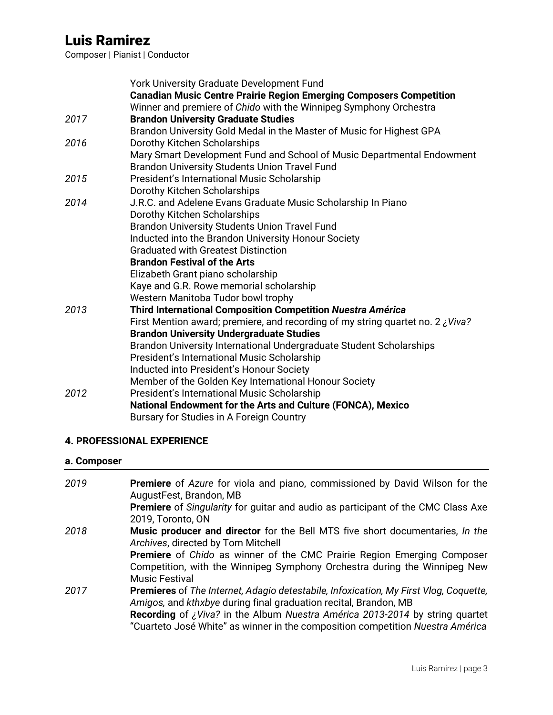Composer | Pianist | Conductor

|      | York University Graduate Development Fund<br><b>Canadian Music Centre Prairie Region Emerging Composers Competition</b> |
|------|-------------------------------------------------------------------------------------------------------------------------|
|      | Winner and premiere of Chido with the Winnipeg Symphony Orchestra                                                       |
| 2017 | <b>Brandon University Graduate Studies</b>                                                                              |
|      | Brandon University Gold Medal in the Master of Music for Highest GPA                                                    |
| 2016 | Dorothy Kitchen Scholarships                                                                                            |
|      | Mary Smart Development Fund and School of Music Departmental Endowment                                                  |
|      | Brandon University Students Union Travel Fund                                                                           |
| 2015 | President's International Music Scholarship                                                                             |
|      | Dorothy Kitchen Scholarships                                                                                            |
| 2014 | J.R.C. and Adelene Evans Graduate Music Scholarship In Piano                                                            |
|      | Dorothy Kitchen Scholarships                                                                                            |
|      | Brandon University Students Union Travel Fund                                                                           |
|      | Inducted into the Brandon University Honour Society                                                                     |
|      | <b>Graduated with Greatest Distinction</b>                                                                              |
|      | <b>Brandon Festival of the Arts</b>                                                                                     |
|      | Elizabeth Grant piano scholarship                                                                                       |
|      | Kaye and G.R. Rowe memorial scholarship                                                                                 |
|      | Western Manitoba Tudor bowl trophy                                                                                      |
| 2013 | Third International Composition Competition Nuestra América                                                             |
|      | First Mention award; premiere, and recording of my string quartet no. 2 $\zeta$ Viva?                                   |
|      | <b>Brandon University Undergraduate Studies</b>                                                                         |
|      | Brandon University International Undergraduate Student Scholarships                                                     |
|      | President's International Music Scholarship                                                                             |
|      | Inducted into President's Honour Society                                                                                |
|      | Member of the Golden Key International Honour Society                                                                   |
| 2012 | President's International Music Scholarship                                                                             |
|      | National Endowment for the Arts and Culture (FONCA), Mexico                                                             |
|      | Bursary for Studies in A Foreign Country                                                                                |

### **4. PROFESSIONAL EXPERIENCE**

#### **a. Composer**

| 2019 | <b>Premiere</b> of Azure for viola and piano, commissioned by David Wilson for the<br>AugustFest, Brandon, MB                                                                               |
|------|---------------------------------------------------------------------------------------------------------------------------------------------------------------------------------------------|
|      | <b>Premiere</b> of Singularity for guitar and audio as participant of the CMC Class Axe<br>2019, Toronto, ON                                                                                |
| 2018 | Music producer and director for the Bell MTS five short documentaries, In the<br>Archives, directed by Tom Mitchell                                                                         |
|      | <b>Premiere</b> of <i>Chido</i> as winner of the CMC Prairie Region Emerging Composer<br>Competition, with the Winnipeg Symphony Orchestra during the Winnipeg New<br><b>Music Festival</b> |
| 2017 | <b>Premieres</b> of The Internet, Adagio detestabile, Infoxication, My First Vlog, Coquette,<br>Amigos, and kthxbye during final graduation recital, Brandon, MB                            |
|      | Recording of ¿Viva? in the Album Nuestra América 2013-2014 by string quartet<br>"Cuarteto José White" as winner in the composition competition Nuestra América                              |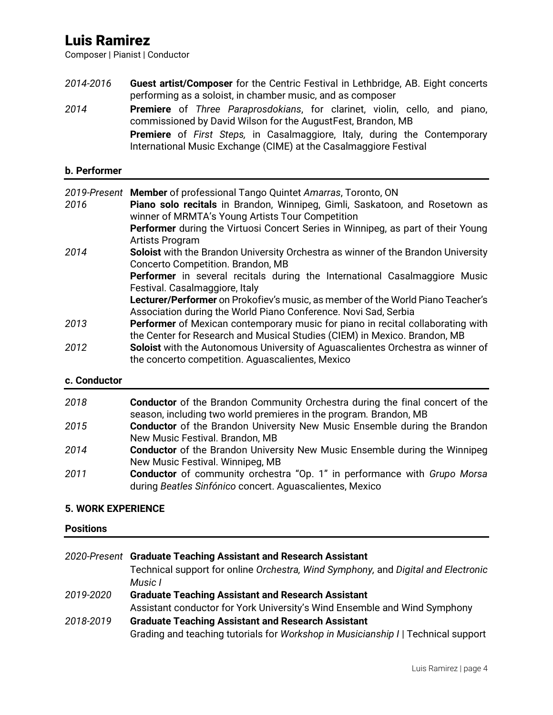Composer | Pianist | Conductor

- *2014-2016* **Guest artist/Composer** for the Centric Festival in Lethbridge, AB. Eight concerts performing as a soloist, in chamber music, and as composer
- *2014* **Premiere** of *Three Paraprosdokians*, for clarinet, violin, cello, and piano, commissioned by David Wilson for the AugustFest, Brandon, MB **Premiere** of *First Steps,* in Casalmaggiore, Italy, during the Contemporary International Music Exchange (CIME) at the Casalmaggiore Festival

#### **b. Performer**

| 2016 | 2019-Present Member of professional Tango Quintet Amarras, Toronto, ON<br>Piano solo recitals in Brandon, Winnipeg, Gimli, Saskatoon, and Rosetown as<br>winner of MRMTA's Young Artists Tour Competition |
|------|-----------------------------------------------------------------------------------------------------------------------------------------------------------------------------------------------------------|
|      | Performer during the Virtuosi Concert Series in Winnipeg, as part of their Young<br>Artists Program                                                                                                       |
| 2014 | Soloist with the Brandon University Orchestra as winner of the Brandon University<br>Concerto Competition. Brandon, MB                                                                                    |
|      | <b>Performer</b> in several recitals during the International Casalmaggiore Music<br>Festival. Casalmaggiore, Italy                                                                                       |
|      | Lecturer/Performer on Prokofiev's music, as member of the World Piano Teacher's<br>Association during the World Piano Conference. Novi Sad, Serbia                                                        |
| 2013 | Performer of Mexican contemporary music for piano in recital collaborating with<br>the Center for Research and Musical Studies (CIEM) in Mexico. Brandon, MB                                              |
| 2012 | Soloist with the Autonomous University of Aguascalientes Orchestra as winner of<br>the concerto competition. Aquascalientes, Mexico                                                                       |

#### **c. Conductor**

| 2018 | <b>Conductor</b> of the Brandon Community Orchestra during the final concert of the |
|------|-------------------------------------------------------------------------------------|
|      | season, including two world premieres in the program. Brandon, MB                   |
| 2015 | <b>Conductor</b> of the Brandon University New Music Ensemble during the Brandon    |
|      | New Music Festival. Brandon, MB                                                     |
| 2014 | <b>Conductor</b> of the Brandon University New Music Ensemble during the Winnipeg   |
|      | New Music Festival. Winnipeg, MB                                                    |
| 2011 | <b>Conductor</b> of community orchestra "Op. 1" in performance with Grupo Morsa     |
|      | during Beatles Sinfónico concert. Aguascalientes, Mexico                            |

#### **5. WORK EXPERIENCE**

#### **Positions**

|           | 2020-Present Graduate Teaching Assistant and Research Assistant                   |
|-----------|-----------------------------------------------------------------------------------|
|           | Technical support for online Orchestra, Wind Symphony, and Digital and Electronic |
|           | Music I                                                                           |
| 2019-2020 | <b>Graduate Teaching Assistant and Research Assistant</b>                         |
|           | Assistant conductor for York University's Wind Ensemble and Wind Symphony         |
| 2018-2019 | <b>Graduate Teaching Assistant and Research Assistant</b>                         |
|           | Grading and teaching tutorials for Workshop in Musicianship I   Technical support |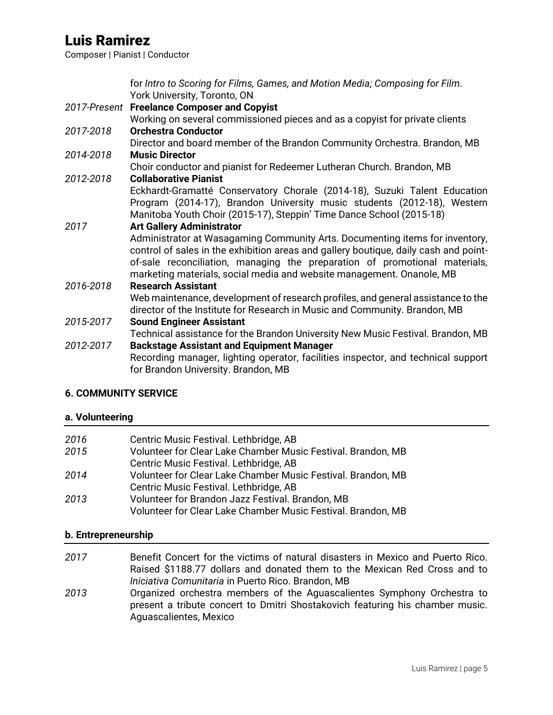Composer | Pianist | Conductor

|           | for Intro to Scoring for Films, Games, and Motion Media; Composing for Film.<br>York University, Toronto, ON                                                         |
|-----------|----------------------------------------------------------------------------------------------------------------------------------------------------------------------|
|           | 2017-Present Freelance Composer and Copyist                                                                                                                          |
|           | Working on several commissioned pieces and as a copyist for private clients                                                                                          |
| 2017-2018 | <b>Orchestra Conductor</b>                                                                                                                                           |
|           | Director and board member of the Brandon Community Orchestra. Brandon, MB                                                                                            |
| 2014-2018 | <b>Music Director</b>                                                                                                                                                |
|           | Choir conductor and pianist for Redeemer Lutheran Church. Brandon, MB                                                                                                |
| 2012-2018 | <b>Collaborative Pianist</b>                                                                                                                                         |
|           | Eckhardt-Gramatté Conservatory Chorale (2014-18), Suzuki Talent Education                                                                                            |
|           | Program (2014-17), Brandon University music students (2012-18), Western                                                                                              |
|           | Manitoba Youth Choir (2015-17), Steppin' Time Dance School (2015-18)                                                                                                 |
| 2017      | <b>Art Gallery Administrator</b>                                                                                                                                     |
|           | Administrator at Wasagaming Community Arts. Documenting items for inventory,<br>control of sales in the exhibition areas and gallery boutique, daily cash and point- |
|           | of-sale reconciliation, managing the preparation of promotional materials,                                                                                           |
|           | marketing materials, social media and website management. Onanole, MB                                                                                                |
| 2016-2018 | <b>Research Assistant</b>                                                                                                                                            |
|           | Web maintenance, development of research profiles, and general assistance to the                                                                                     |
|           | director of the Institute for Research in Music and Community. Brandon, MB                                                                                           |
| 2015-2017 | <b>Sound Engineer Assistant</b>                                                                                                                                      |
|           | Technical assistance for the Brandon University New Music Festival. Brandon, MB                                                                                      |
| 2012-2017 | <b>Backstage Assistant and Equipment Manager</b>                                                                                                                     |
|           | Recording manager, lighting operator, facilities inspector, and technical support                                                                                    |
|           | for Brandon University. Brandon, MB                                                                                                                                  |

#### **6. COMMUNITY SERVICE**

#### **a. Volunteering**

| 2016 | Centric Music Festival. Lethbridge, AB                       |
|------|--------------------------------------------------------------|
| 2015 | Volunteer for Clear Lake Chamber Music Festival. Brandon, MB |
|      | Centric Music Festival. Lethbridge, AB                       |
| 2014 | Volunteer for Clear Lake Chamber Music Festival. Brandon, MB |
|      | Centric Music Festival. Lethbridge, AB                       |
| 2013 | Volunteer for Brandon Jazz Festival. Brandon, MB             |
|      | Volunteer for Clear Lake Chamber Music Festival. Brandon, MB |

#### **b. Entrepreneurship**

- *2017* Benefit Concert for the victims of natural disasters in Mexico and Puerto Rico. Raised \$1188.77 dollars and donated them to the Mexican Red Cross and to *Iniciativa Comunitaria* in Puerto Rico. Brandon, MB
- *2013* Organized orchestra members of the Aguascalientes Symphony Orchestra to present a tribute concert to Dmitri Shostakovich featuring his chamber music. Aguascalientes, Mexico